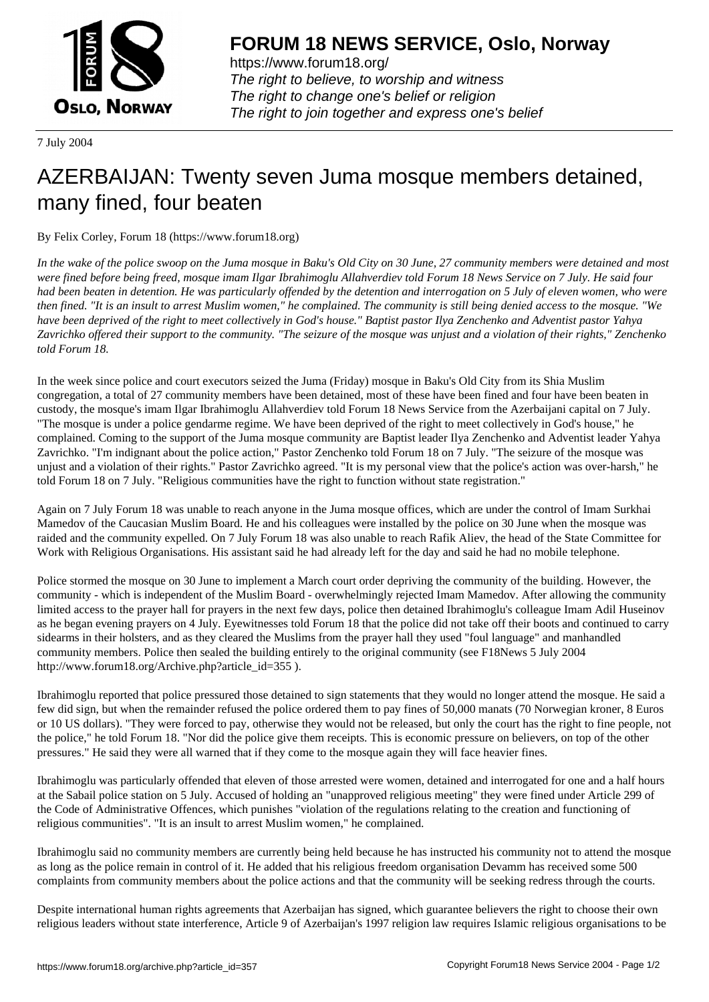

https://www.forum18.org/ The right to believe, to worship and witness The right to change one's belief or religion [The right to join together a](https://www.forum18.org/)nd express one's belief

7 July 2004

## [AZERBAIJAN: T](https://www.forum18.org)wenty seven Juma mosque members detained, many fined, four beaten

By Felix Corley, Forum 18 (https://www.forum18.org)

*In the wake of the police swoop on the Juma mosque in Baku's Old City on 30 June, 27 community members were detained and most were fined before being freed, mosque imam Ilgar Ibrahimoglu Allahverdiev told Forum 18 News Service on 7 July. He said four had been beaten in detention. He was particularly offended by the detention and interrogation on 5 July of eleven women, who were then fined. "It is an insult to arrest Muslim women," he complained. The community is still being denied access to the mosque. "We have been deprived of the right to meet collectively in God's house." Baptist pastor Ilya Zenchenko and Adventist pastor Yahya Zavrichko offered their support to the community. "The seizure of the mosque was unjust and a violation of their rights," Zenchenko told Forum 18.*

In the week since police and court executors seized the Juma (Friday) mosque in Baku's Old City from its Shia Muslim congregation, a total of 27 community members have been detained, most of these have been fined and four have been beaten in custody, the mosque's imam Ilgar Ibrahimoglu Allahverdiev told Forum 18 News Service from the Azerbaijani capital on 7 July. "The mosque is under a police gendarme regime. We have been deprived of the right to meet collectively in God's house," he complained. Coming to the support of the Juma mosque community are Baptist leader Ilya Zenchenko and Adventist leader Yahya Zavrichko. "I'm indignant about the police action," Pastor Zenchenko told Forum 18 on 7 July. "The seizure of the mosque was unjust and a violation of their rights." Pastor Zavrichko agreed. "It is my personal view that the police's action was over-harsh," he told Forum 18 on 7 July. "Religious communities have the right to function without state registration."

Again on 7 July Forum 18 was unable to reach anyone in the Juma mosque offices, which are under the control of Imam Surkhai Mamedov of the Caucasian Muslim Board. He and his colleagues were installed by the police on 30 June when the mosque was raided and the community expelled. On 7 July Forum 18 was also unable to reach Rafik Aliev, the head of the State Committee for Work with Religious Organisations. His assistant said he had already left for the day and said he had no mobile telephone.

Police stormed the mosque on 30 June to implement a March court order depriving the community of the building. However, the community - which is independent of the Muslim Board - overwhelmingly rejected Imam Mamedov. After allowing the community limited access to the prayer hall for prayers in the next few days, police then detained Ibrahimoglu's colleague Imam Adil Huseinov as he began evening prayers on 4 July. Eyewitnesses told Forum 18 that the police did not take off their boots and continued to carry sidearms in their holsters, and as they cleared the Muslims from the prayer hall they used "foul language" and manhandled community members. Police then sealed the building entirely to the original community (see F18News 5 July 2004 http://www.forum18.org/Archive.php?article\_id=355 ).

Ibrahimoglu reported that police pressured those detained to sign statements that they would no longer attend the mosque. He said a few did sign, but when the remainder refused the police ordered them to pay fines of 50,000 manats (70 Norwegian kroner, 8 Euros or 10 US dollars). "They were forced to pay, otherwise they would not be released, but only the court has the right to fine people, not the police," he told Forum 18. "Nor did the police give them receipts. This is economic pressure on believers, on top of the other pressures." He said they were all warned that if they come to the mosque again they will face heavier fines.

Ibrahimoglu was particularly offended that eleven of those arrested were women, detained and interrogated for one and a half hours at the Sabail police station on 5 July. Accused of holding an "unapproved religious meeting" they were fined under Article 299 of the Code of Administrative Offences, which punishes "violation of the regulations relating to the creation and functioning of religious communities". "It is an insult to arrest Muslim women," he complained.

Ibrahimoglu said no community members are currently being held because he has instructed his community not to attend the mosque as long as the police remain in control of it. He added that his religious freedom organisation Devamm has received some 500 complaints from community members about the police actions and that the community will be seeking redress through the courts.

Despite international human rights agreements that Azerbaijan has signed, which guarantee believers the right to choose their own religious leaders without state interference, Article 9 of Azerbaijan's 1997 religion law requires Islamic religious organisations to be